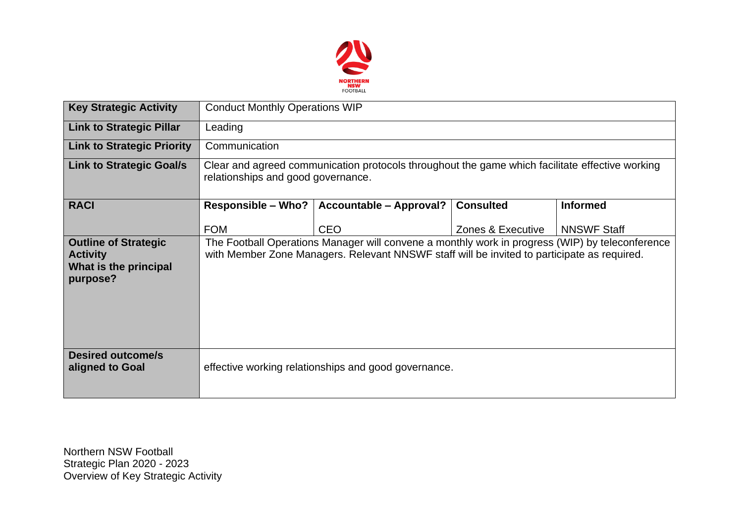

| <b>Key Strategic Activity</b>                                                       | <b>Conduct Monthly Operations WIP</b>                                                                                                                                                          |                                |                   |                    |  |  |  |
|-------------------------------------------------------------------------------------|------------------------------------------------------------------------------------------------------------------------------------------------------------------------------------------------|--------------------------------|-------------------|--------------------|--|--|--|
| <b>Link to Strategic Pillar</b>                                                     | Leading                                                                                                                                                                                        |                                |                   |                    |  |  |  |
| <b>Link to Strategic Priority</b>                                                   | Communication                                                                                                                                                                                  |                                |                   |                    |  |  |  |
| <b>Link to Strategic Goal/s</b>                                                     | Clear and agreed communication protocols throughout the game which facilitate effective working<br>relationships and good governance.                                                          |                                |                   |                    |  |  |  |
| <b>RACI</b>                                                                         | <b>Responsible – Who?</b>                                                                                                                                                                      | <b>Accountable - Approval?</b> | <b>Consulted</b>  | <b>Informed</b>    |  |  |  |
|                                                                                     | <b>FOM</b>                                                                                                                                                                                     | <b>CEO</b>                     | Zones & Executive | <b>NNSWF Staff</b> |  |  |  |
| <b>Outline of Strategic</b><br><b>Activity</b><br>What is the principal<br>purpose? | The Football Operations Manager will convene a monthly work in progress (WIP) by teleconference<br>with Member Zone Managers. Relevant NNSWF staff will be invited to participate as required. |                                |                   |                    |  |  |  |
| <b>Desired outcome/s</b><br>aligned to Goal                                         | effective working relationships and good governance.                                                                                                                                           |                                |                   |                    |  |  |  |

Northern NSW Football Strategic Plan 2020 - 2023 Overview of Key Strategic Activity